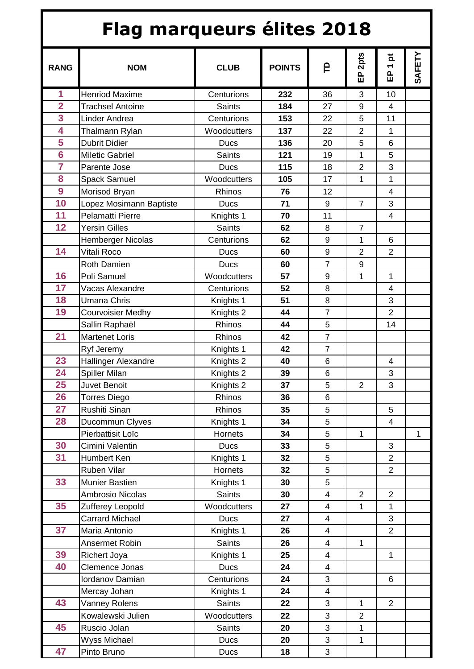| <b>Flag marqueurs élites 2018</b> |                            |                      |               |                         |                 |                                            |        |  |  |  |
|-----------------------------------|----------------------------|----------------------|---------------|-------------------------|-----------------|--------------------------------------------|--------|--|--|--|
| <b>RANG</b>                       | <b>NOM</b>                 | <b>CLUB</b>          | <b>POINTS</b> | e                       | 2pts<br>。<br>[] | $\vec{p}$<br>$\overline{\phantom{0}}$<br>品 | SAFETY |  |  |  |
| 1                                 | <b>Henriod Maxime</b>      | Centurions           | 232           | 36                      | 3               | 10                                         |        |  |  |  |
| $\overline{2}$                    | <b>Trachsel Antoine</b>    | <b>Saints</b>        | 184           | 27                      | $9\,$           | 4                                          |        |  |  |  |
| 3                                 | Linder Andrea              | Centurions           | 153           | 22                      | 5               | 11                                         |        |  |  |  |
| 4                                 | Thalmann Rylan             | Woodcutters          | 137           | 22                      | $\overline{2}$  | 1                                          |        |  |  |  |
| 5                                 | <b>Dubrit Didier</b>       | Ducs                 | 136           | 20                      | 5               | 6                                          |        |  |  |  |
| $\overline{6}$                    | <b>Miletic Gabriel</b>     | <b>Saints</b>        | 121           | 19                      | 1               | 5                                          |        |  |  |  |
| $\overline{7}$                    | Parente Jose               | <b>Ducs</b>          | 115           | 18                      | $\overline{2}$  | 3                                          |        |  |  |  |
| 8                                 | <b>Spack Samuel</b>        | Woodcutters          | 105           | 17                      | 1               | 1                                          |        |  |  |  |
| 9                                 | Morisod Bryan              | <b>Rhinos</b>        | 76            | 12                      |                 | 4                                          |        |  |  |  |
| 10                                | Lopez Mosimann Baptiste    | <b>Ducs</b>          | 71            | 9                       | $\overline{7}$  | 3                                          |        |  |  |  |
| 11                                | Pelamatti Pierre           | Knights 1            | 70            | 11                      |                 | $\overline{4}$                             |        |  |  |  |
| 12                                | <b>Yersin Gilles</b>       | <b>Saints</b>        | 62            | 8                       | $\overline{7}$  |                                            |        |  |  |  |
|                                   | Hemberger Nicolas          | Centurions           | 62            | 9                       | 1               | 6                                          |        |  |  |  |
| 14                                | Vitali Roco                | <b>Ducs</b>          | 60            | 9                       | $\overline{2}$  | $\overline{2}$                             |        |  |  |  |
|                                   | <b>Roth Damien</b>         | <b>Ducs</b>          | 60            | $\overline{7}$          | 9               |                                            |        |  |  |  |
| 16                                | Poli Samuel                | Woodcutters          | 57            | 9                       | 1               | $\mathbf{1}$                               |        |  |  |  |
| 17                                | Vacas Alexandre            | Centurions           | 52            | 8                       |                 | 4                                          |        |  |  |  |
| 18                                | <b>Umana Chris</b>         | Knights 1            | 51            | 8                       |                 | 3                                          |        |  |  |  |
| 19                                | Courvoisier Medhy          | Knights 2            | 44            | $\overline{7}$          |                 | $\overline{2}$                             |        |  |  |  |
|                                   | Sallin Raphaël             | Rhinos               | 44            | 5                       |                 | 14                                         |        |  |  |  |
| 21                                | <b>Martenet Loris</b>      | Rhinos               | 42            | $\overline{7}$          |                 |                                            |        |  |  |  |
|                                   | Ryf Jeremy                 | Knights 1            | 42            | $\overline{7}$          |                 |                                            |        |  |  |  |
| 23                                | <b>Hallinger Alexandre</b> | Knights 2            | 40            | 6                       |                 | 4                                          |        |  |  |  |
| 24                                | Spiller Milan              | Knights <sub>2</sub> | 39            | 6                       |                 | 3                                          |        |  |  |  |
| 25                                | Juvet Benoit               | Knights <sub>2</sub> | 37            | 5                       | $\overline{2}$  | 3                                          |        |  |  |  |
| 26                                | Torres Diego               | Rhinos               | 36            | 6                       |                 |                                            |        |  |  |  |
| 27                                | Rushiti Sinan              | Rhinos               | 35            | 5                       |                 | 5                                          |        |  |  |  |
| 28                                | Ducommun Clyves            | Knights 1            | 34            | 5                       |                 | $\overline{\mathbf{4}}$                    |        |  |  |  |
|                                   | Pierbattisit Loïc          | Hornets              | 34            | 5                       | 1               |                                            | 1      |  |  |  |
| 30                                | Cimini Valentin            | <b>Ducs</b>          | 33            | 5                       |                 | 3                                          |        |  |  |  |
| 31                                | Humbert Ken                | Knights 1            | 32            | 5                       |                 | $\overline{2}$                             |        |  |  |  |
|                                   | Ruben Vilar                | Hornets              | 32            | 5                       |                 | $\overline{2}$                             |        |  |  |  |
| 33                                | Munier Bastien             | Knights 1            | 30            | 5                       |                 |                                            |        |  |  |  |
|                                   | Ambrosio Nicolas           | Saints               | 30            | $\overline{\mathbf{4}}$ | $\overline{2}$  | $\overline{c}$                             |        |  |  |  |
| 35                                | Zufferey Leopold           | Woodcutters          | 27            | $\overline{4}$          | 1               | $\mathbf{1}$                               |        |  |  |  |
|                                   | <b>Carrard Michael</b>     | <b>Ducs</b>          | 27            | $\overline{\mathbf{4}}$ |                 | 3                                          |        |  |  |  |
| 37                                | Maria Antonio              | Knights 1            | 26            | $\overline{\mathbf{4}}$ |                 | $\overline{2}$                             |        |  |  |  |
|                                   | Ansermet Robin             | <b>Saints</b>        | 26            | $\overline{4}$          | 1               |                                            |        |  |  |  |
| 39                                | <b>Richert Joya</b>        | Knights 1            | 25            | $\overline{\mathbf{4}}$ |                 | 1                                          |        |  |  |  |
| 40                                | Clemence Jonas             | <b>Ducs</b>          | 24            | $\overline{4}$          |                 |                                            |        |  |  |  |
|                                   | Iordanov Damian            | Centurions           | 24            | 3                       |                 | 6                                          |        |  |  |  |
|                                   | Mercay Johan               | Knights 1            | 24            | $\overline{\mathbf{4}}$ |                 |                                            |        |  |  |  |
| 43                                | Vanney Rolens              | Saints               | 22            | 3                       | 1               | $\overline{2}$                             |        |  |  |  |
|                                   | Kowalewski Julien          | Woodcutters          | 22            | 3                       | $\overline{2}$  |                                            |        |  |  |  |
| 45                                | Ruscio Jolan               | Saints               | 20            | 3                       | 1               |                                            |        |  |  |  |
|                                   | Wyss Michael               | <b>Ducs</b>          | 20            | 3                       | 1               |                                            |        |  |  |  |
| 47                                | Pinto Bruno                | Ducs                 | 18            | 3                       |                 |                                            |        |  |  |  |